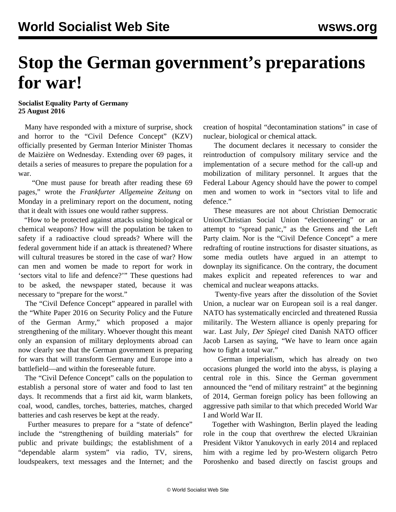## **Stop the German government's preparations for war!**

## **Socialist Equality Party of Germany 25 August 2016**

 Many have responded with a mixture of surprise, shock and horror to the "Civil Defence Concept" (KZV) officially presented by German Interior Minister Thomas de Maizière on Wednesday. Extending over 69 pages, it details a series of measures to prepare the population for a war.

 "One must pause for breath after reading these 69 pages," wrote the *Frankfurter Allgemeine Zeitung* on Monday in a preliminary report on the document, noting that it dealt with issues one would rather suppress.

 "How to be protected against attacks using biological or chemical weapons? How will the population be taken to safety if a radioactive cloud spreads? Where will the federal government hide if an attack is threatened? Where will cultural treasures be stored in the case of war? How can men and women be made to report for work in 'sectors vital to life and defence?'" These questions had to be asked, the newspaper stated, because it was necessary to "prepare for the worst."

 The "Civil Defence Concept" appeared in parallel with the "White Paper 2016 on Security Policy and the Future of the German Army," which proposed a major strengthening of the military. Whoever thought this meant only an expansion of military deployments abroad can now clearly see that the German government is preparing for wars that will transform Germany and Europe into a battlefield—and within the foreseeable future.

 The "Civil Defence Concept" calls on the population to establish a personal store of water and food to last ten days. It recommends that a first aid kit, warm blankets, coal, wood, candles, torches, batteries, matches, charged batteries and cash reserves be kept at the ready.

 Further measures to prepare for a "state of defence" include the "strengthening of building materials" for public and private buildings; the establishment of a "dependable alarm system" via radio, TV, sirens, loudspeakers, text messages and the Internet; and the

creation of hospital "decontamination stations" in case of nuclear, biological or chemical attack.

 The document declares it necessary to consider the reintroduction of compulsory military service and the implementation of a secure method for the call-up and mobilization of military personnel. It argues that the Federal Labour Agency should have the power to compel men and women to work in "sectors vital to life and defence"

 These measures are not about Christian Democratic Union/Christian Social Union "electioneering" or an attempt to "spread panic," as the Greens and the Left Party claim. Nor is the "Civil Defence Concept" a mere redrafting of routine instructions for disaster situations, as some media outlets have argued in an attempt to downplay its significance. On the contrary, the document makes explicit and repeated references to war and chemical and nuclear weapons attacks.

 Twenty-five years after the dissolution of the Soviet Union, a nuclear war on European soil is a real danger. NATO has systematically encircled and threatened Russia militarily. The Western alliance is openly preparing for war. Last July, *Der Spiegel* cited Danish NATO officer Jacob Larsen as saying, "We have to learn once again how to fight a total war."

 German imperialism, which has already on two occasions plunged the world into the abyss, is playing a central role in this. Since the German government announced the "end of military restraint" at the beginning of 2014, German foreign policy has been following an aggressive path similar to that which preceded World War I and World War II.

 Together with Washington, Berlin played the leading role in the coup that overthrew the elected Ukrainian President Viktor Yanukovych in early 2014 and replaced him with a regime led by pro-Western oligarch Petro Poroshenko and based directly on fascist groups and